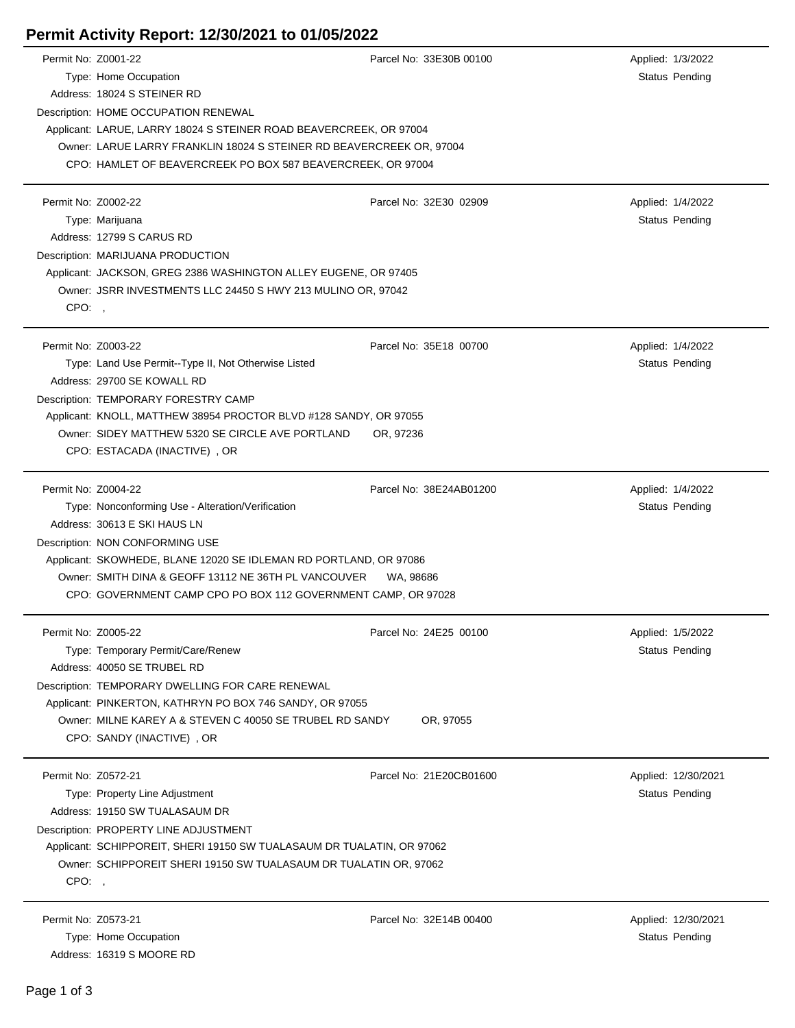## **Permit Activity Report: 12/30/2021 to 01/05/2022**

| Permit No: Z0001-22 |                                                                        | Parcel No: 33E30B 00100 |  | Applied: 1/3/2022   |
|---------------------|------------------------------------------------------------------------|-------------------------|--|---------------------|
|                     | Type: Home Occupation                                                  |                         |  | Status Pending      |
|                     | Address: 18024 S STEINER RD                                            |                         |  |                     |
|                     | Description: HOME OCCUPATION RENEWAL                                   |                         |  |                     |
|                     | Applicant: LARUE, LARRY 18024 S STEINER ROAD BEAVERCREEK, OR 97004     |                         |  |                     |
|                     | Owner: LARUE LARRY FRANKLIN 18024 S STEINER RD BEAVERCREEK OR, 97004   |                         |  |                     |
|                     | CPO: HAMLET OF BEAVERCREEK PO BOX 587 BEAVERCREEK, OR 97004            |                         |  |                     |
| Permit No: Z0002-22 |                                                                        | Parcel No: 32E30 02909  |  | Applied: 1/4/2022   |
|                     | Type: Marijuana                                                        |                         |  | Status Pending      |
|                     | Address: 12799 S CARUS RD                                              |                         |  |                     |
|                     | Description: MARIJUANA PRODUCTION                                      |                         |  |                     |
|                     | Applicant: JACKSON, GREG 2386 WASHINGTON ALLEY EUGENE, OR 97405        |                         |  |                     |
|                     | Owner: JSRR INVESTMENTS LLC 24450 S HWY 213 MULINO OR, 97042           |                         |  |                     |
| CPO:                |                                                                        |                         |  |                     |
| Permit No: Z0003-22 |                                                                        | Parcel No: 35E18 00700  |  | Applied: 1/4/2022   |
|                     | Type: Land Use Permit--Type II, Not Otherwise Listed                   |                         |  | Status Pending      |
|                     | Address: 29700 SE KOWALL RD                                            |                         |  |                     |
|                     | Description: TEMPORARY FORESTRY CAMP                                   |                         |  |                     |
|                     | Applicant: KNOLL, MATTHEW 38954 PROCTOR BLVD #128 SANDY, OR 97055      |                         |  |                     |
|                     | Owner: SIDEY MATTHEW 5320 SE CIRCLE AVE PORTLAND                       | OR, 97236               |  |                     |
|                     | CPO: ESTACADA (INACTIVE), OR                                           |                         |  |                     |
| Permit No: Z0004-22 |                                                                        | Parcel No: 38E24AB01200 |  | Applied: 1/4/2022   |
|                     | Type: Nonconforming Use - Alteration/Verification                      |                         |  | Status Pending      |
|                     | Address: 30613 E SKI HAUS LN                                           |                         |  |                     |
|                     | Description: NON CONFORMING USE                                        |                         |  |                     |
|                     | Applicant: SKOWHEDE, BLANE 12020 SE IDLEMAN RD PORTLAND, OR 97086      |                         |  |                     |
|                     | Owner: SMITH DINA & GEOFF 13112 NE 36TH PL VANCOUVER                   | WA. 98686               |  |                     |
|                     | CPO: GOVERNMENT CAMP CPO PO BOX 112 GOVERNMENT CAMP, OR 97028          |                         |  |                     |
| Permit No: Z0005-22 |                                                                        | Parcel No: 24E25 00100  |  | Applied: 1/5/2022   |
|                     | Type: Temporary Permit/Care/Renew                                      |                         |  | Status Pending      |
|                     | Address: 40050 SE TRUBEL RD                                            |                         |  |                     |
|                     | Description: TEMPORARY DWELLING FOR CARE RENEWAL                       |                         |  |                     |
|                     | Applicant: PINKERTON, KATHRYN PO BOX 746 SANDY, OR 97055               |                         |  |                     |
|                     | Owner: MILNE KAREY A & STEVEN C 40050 SE TRUBEL RD SANDY               | OR, 97055               |  |                     |
|                     | CPO: SANDY (INACTIVE), OR                                              |                         |  |                     |
| Permit No: Z0572-21 |                                                                        | Parcel No: 21E20CB01600 |  | Applied: 12/30/2021 |
|                     | Type: Property Line Adjustment                                         |                         |  | Status Pending      |
|                     | Address: 19150 SW TUALASAUM DR                                         |                         |  |                     |
|                     | Description: PROPERTY LINE ADJUSTMENT                                  |                         |  |                     |
|                     | Applicant: SCHIPPOREIT, SHERI 19150 SW TUALASAUM DR TUALATIN, OR 97062 |                         |  |                     |
|                     | Owner: SCHIPPOREIT SHERI 19150 SW TUALASAUM DR TUALATIN OR, 97062      |                         |  |                     |
| CPO:,               |                                                                        |                         |  |                     |
| Permit No: Z0573-21 |                                                                        | Parcel No: 32E14B 00400 |  | Applied: 12/30/2021 |
|                     | Type: Home Occupation                                                  |                         |  | Status Pending      |
|                     | Address: 16319 S MOORE RD                                              |                         |  |                     |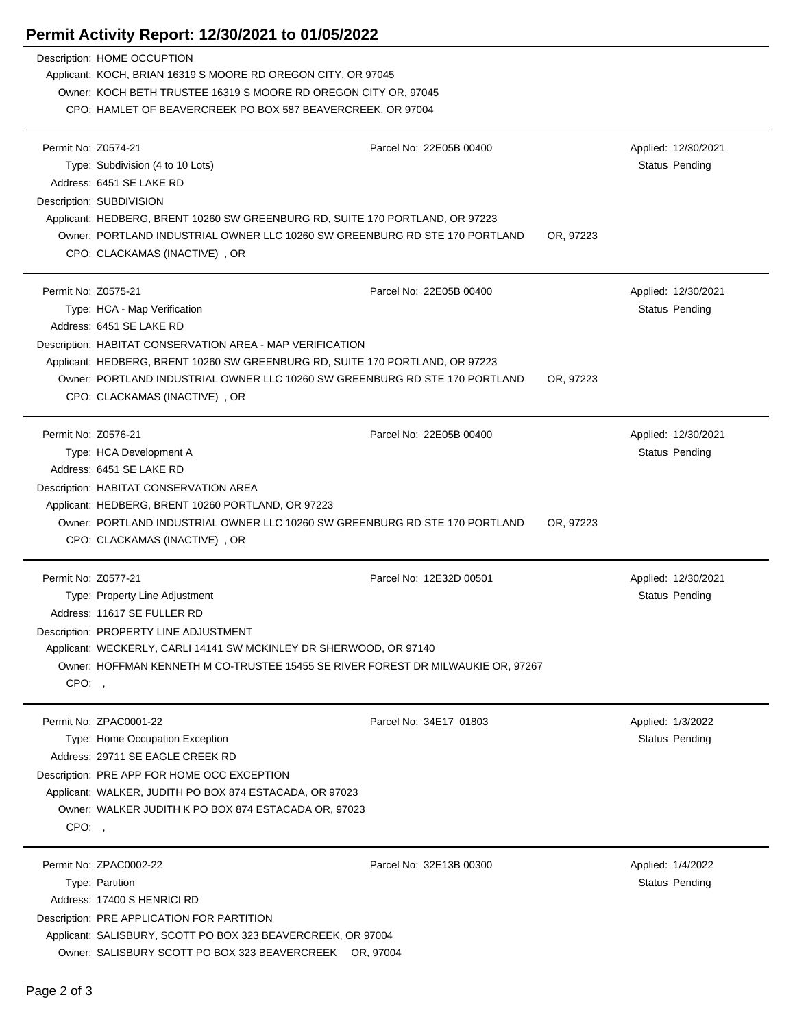## **Permit Activity Report: 12/30/2021 to 01/05/2022**

|                     | <b>EXIMILE ACTIVITY LABOUT.</b> TZJ30/Z0ZT TO 0 1703/Z0ZZ                                              |                         |           |                   |                       |  |  |
|---------------------|--------------------------------------------------------------------------------------------------------|-------------------------|-----------|-------------------|-----------------------|--|--|
|                     | Description: HOME OCCUPTION                                                                            |                         |           |                   |                       |  |  |
|                     | Applicant: KOCH, BRIAN 16319 S MOORE RD OREGON CITY, OR 97045                                          |                         |           |                   |                       |  |  |
|                     | Owner: KOCH BETH TRUSTEE 16319 S MOORE RD OREGON CITY OR, 97045                                        |                         |           |                   |                       |  |  |
|                     | CPO: HAMLET OF BEAVERCREEK PO BOX 587 BEAVERCREEK, OR 97004                                            |                         |           |                   |                       |  |  |
|                     |                                                                                                        |                         |           |                   |                       |  |  |
| Permit No: Z0574-21 |                                                                                                        | Parcel No: 22E05B 00400 |           |                   | Applied: 12/30/2021   |  |  |
|                     | Type: Subdivision (4 to 10 Lots)                                                                       |                         |           |                   | Status Pending        |  |  |
|                     | Address: 6451 SE LAKE RD                                                                               |                         |           |                   |                       |  |  |
|                     | Description: SUBDIVISION                                                                               |                         |           |                   |                       |  |  |
|                     | Applicant: HEDBERG, BRENT 10260 SW GREENBURG RD, SUITE 170 PORTLAND, OR 97223                          |                         |           |                   |                       |  |  |
|                     | Owner: PORTLAND INDUSTRIAL OWNER LLC 10260 SW GREENBURG RD STE 170 PORTLAND<br>OR, 97223               |                         |           |                   |                       |  |  |
|                     | CPO: CLACKAMAS (INACTIVE), OR                                                                          |                         |           |                   |                       |  |  |
|                     |                                                                                                        |                         |           |                   |                       |  |  |
| Permit No: Z0575-21 |                                                                                                        | Parcel No: 22E05B 00400 |           |                   | Applied: 12/30/2021   |  |  |
|                     | Type: HCA - Map Verification                                                                           |                         |           |                   | <b>Status Pending</b> |  |  |
|                     | Address: 6451 SE LAKE RD                                                                               |                         |           |                   |                       |  |  |
|                     | Description: HABITAT CONSERVATION AREA - MAP VERIFICATION                                              |                         |           |                   |                       |  |  |
|                     | Applicant: HEDBERG, BRENT 10260 SW GREENBURG RD, SUITE 170 PORTLAND, OR 97223                          |                         |           |                   |                       |  |  |
|                     | Owner: PORTLAND INDUSTRIAL OWNER LLC 10260 SW GREENBURG RD STE 170 PORTLAND                            |                         | OR, 97223 |                   |                       |  |  |
|                     | CPO: CLACKAMAS (INACTIVE), OR                                                                          |                         |           |                   |                       |  |  |
|                     |                                                                                                        |                         |           |                   |                       |  |  |
| Permit No: Z0576-21 |                                                                                                        | Parcel No: 22E05B 00400 |           |                   | Applied: 12/30/2021   |  |  |
|                     | Type: HCA Development A                                                                                |                         |           |                   | <b>Status Pending</b> |  |  |
|                     | Address: 6451 SE LAKE RD                                                                               |                         |           |                   |                       |  |  |
|                     | Description: HABITAT CONSERVATION AREA                                                                 |                         |           |                   |                       |  |  |
|                     | Applicant: HEDBERG, BRENT 10260 PORTLAND, OR 97223                                                     |                         |           |                   |                       |  |  |
|                     | Owner: PORTLAND INDUSTRIAL OWNER LLC 10260 SW GREENBURG RD STE 170 PORTLAND                            |                         | OR, 97223 |                   |                       |  |  |
|                     | CPO: CLACKAMAS (INACTIVE), OR                                                                          |                         |           |                   |                       |  |  |
|                     |                                                                                                        |                         |           |                   |                       |  |  |
| Permit No: Z0577-21 |                                                                                                        | Parcel No: 12E32D 00501 |           |                   | Applied: 12/30/2021   |  |  |
|                     | Type: Property Line Adjustment                                                                         |                         |           |                   | Status Pending        |  |  |
|                     | Address: 11617 SE FULLER RD                                                                            |                         |           |                   |                       |  |  |
|                     | Description: PROPERTY LINE ADJUSTMENT                                                                  |                         |           |                   |                       |  |  |
|                     | Applicant: WECKERLY, CARLI 14141 SW MCKINLEY DR SHERWOOD, OR 97140                                     |                         |           |                   |                       |  |  |
|                     | Owner: HOFFMAN KENNETH M CO-TRUSTEE 15455 SE RIVER FOREST DR MILWAUKIE OR, 97267                       |                         |           |                   |                       |  |  |
| CPO:,               |                                                                                                        |                         |           |                   |                       |  |  |
|                     | Permit No: ZPAC0001-22                                                                                 | Parcel No: 34E17 01803  |           |                   | Applied: 1/3/2022     |  |  |
|                     | Type: Home Occupation Exception                                                                        |                         |           |                   | <b>Status Pending</b> |  |  |
|                     | Address: 29711 SE EAGLE CREEK RD                                                                       |                         |           |                   |                       |  |  |
|                     |                                                                                                        |                         |           |                   |                       |  |  |
|                     | Description: PRE APP FOR HOME OCC EXCEPTION<br>Applicant: WALKER, JUDITH PO BOX 874 ESTACADA, OR 97023 |                         |           |                   |                       |  |  |
|                     | Owner: WALKER JUDITH K PO BOX 874 ESTACADA OR, 97023                                                   |                         |           |                   |                       |  |  |
|                     |                                                                                                        |                         |           |                   |                       |  |  |
| CPO:                |                                                                                                        |                         |           |                   |                       |  |  |
|                     | Permit No: ZPAC0002-22                                                                                 | Parcel No: 32E13B 00300 |           | Applied: 1/4/2022 |                       |  |  |
|                     | Type: Partition                                                                                        |                         |           |                   | Status Pending        |  |  |
|                     | Address: 17400 S HENRICI RD                                                                            |                         |           |                   |                       |  |  |
|                     | Description: PRE APPLICATION FOR PARTITION                                                             |                         |           |                   |                       |  |  |
|                     | Applicant: SALISBURY, SCOTT PO BOX 323 BEAVERCREEK, OR 97004                                           |                         |           |                   |                       |  |  |
|                     | Owner: SALISBURY SCOTT PO BOX 323 BEAVERCREEK OR, 97004                                                |                         |           |                   |                       |  |  |
|                     |                                                                                                        |                         |           |                   |                       |  |  |